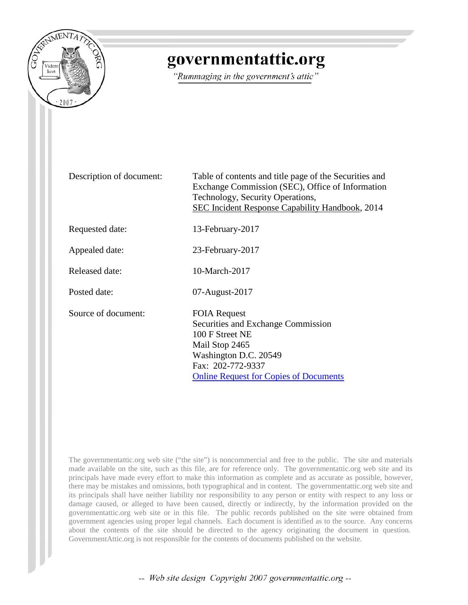

## governmentattic.org

"Rummaging in the government's attic"

Description of document: Table of contents and title page of the Securities and Exchange Commission (SEC), Office of Information Technology, Security Operations, SEC Incident Response Capability Handbook, 2014

Requested date: 13-February-2017

Appealed date: 23-February-2017

Released date: 10-March-2017

Posted date: 07-August-2017

Source of document: FOIA Request

Securities and Exchange Commission 100 F Street NE Mail Stop 2465 Washington D.C. 20549 Fax: 202-772-9337 [Online Request for Copies of Documents](https://www.sec.gov/forms/request_public_docs)

The governmentattic.org web site ("the site") is noncommercial and free to the public. The site and materials made available on the site, such as this file, are for reference only. The governmentattic.org web site and its principals have made every effort to make this information as complete and as accurate as possible, however, there may be mistakes and omissions, both typographical and in content. The governmentattic.org web site and its principals shall have neither liability nor responsibility to any person or entity with respect to any loss or damage caused, or alleged to have been caused, directly or indirectly, by the information provided on the governmentattic.org web site or in this file. The public records published on the site were obtained from government agencies using proper legal channels. Each document is identified as to the source. Any concerns about the contents of the site should be directed to the agency originating the document in question. GovernmentAttic.org is not responsible for the contents of documents published on the website.

-- Web site design Copyright 2007 governmentattic.org --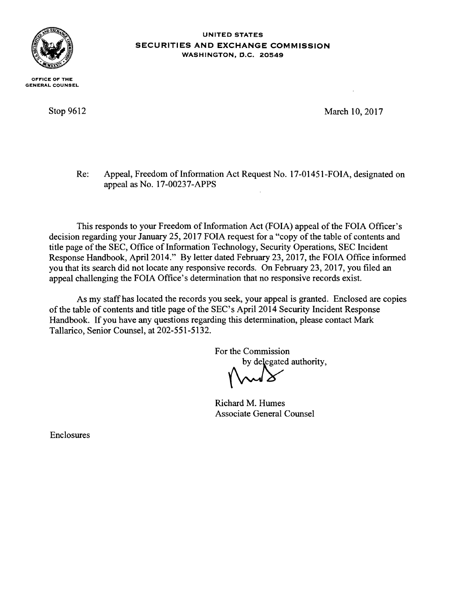

OFFICE OF THE GENERAL COUNSEL

Stop 9612

UNITED STATES SECURITIES AND EXCHANGE COMMISSION WASHINGTON, D.C. 20549

March 10, 2017

Re: Appeal, Freedom of Information Act Request No. 17-01451-FOIA, designated on appeal as No. 17-00237-APPS

This responds to your Freedom of Information Act (FOIA) appeal of the FOIA Officer's decision regarding your January 25, 2017 FOIA request for a "copy of the table of contents and title page of the SEC, Office of Information Technology, Security Operations, SEC Incident Response Handbook, April 2014." By letter dated February 23, 2017, the FOIA Office informed you that its search did not locate any responsive records. On February 23, 2017, you filed an appeal challenging the FOIA Office's determination that no responsive records exist.

As my staff has located the records you seek, your appeal is granted. Enclosed are copies of the table of contents and title page of the SEC's April 2014 Security Incident Response Handbook. If you have any questions regarding this determination, please contact Mark Tallarico, Senior Counsel, at 202-551-5132. For the Commission<br>by delegated auth

authority,

Richard M. Humes Associate General Counsel

Enclosures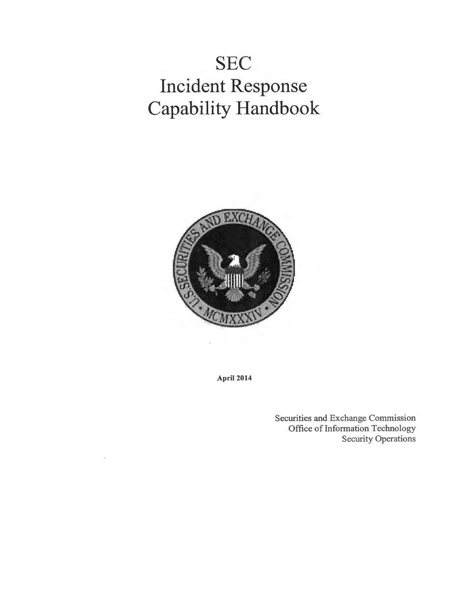## **SEC Incident Response Capability Handbook**



April 2014

Securities and Exchange Commission Office of Information Technology Security Operations